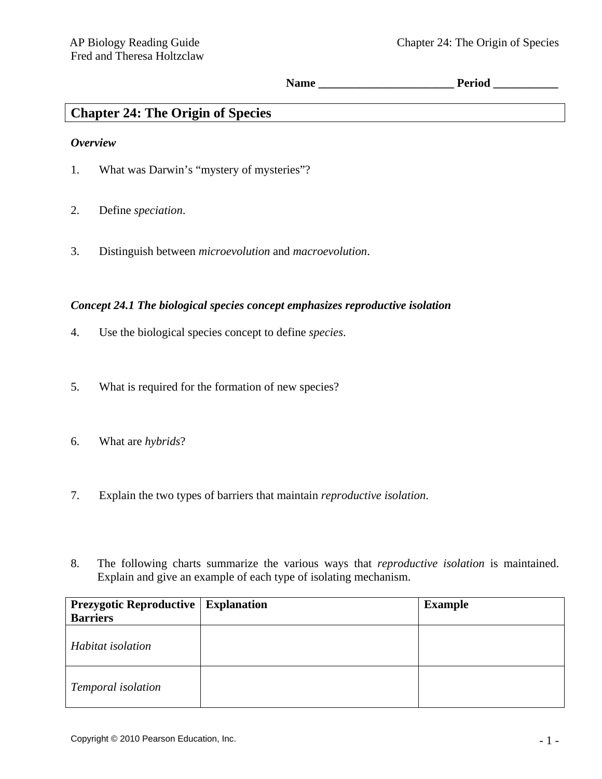**Name \_\_\_\_\_\_\_\_\_\_\_\_\_\_\_\_\_\_\_\_\_\_\_ Period \_\_\_\_\_\_\_\_\_\_\_** 

# **Chapter 24: The Origin of Species**

#### *Overview*

- 1. What was Darwin's "mystery of mysteries"?
- 2. Define *speciation*.
- 3. Distinguish between *microevolution* and *macroevolution*.

#### *Concept 24.1 The biological species concept emphasizes reproductive isolation*

- 4. Use the biological species concept to define *species*.
- 5. What is required for the formation of new species?
- 6. What are *hybrids*?
- 7. Explain the two types of barriers that maintain *reproductive isolation*.
- 8. The following charts summarize the various ways that *reproductive isolation* is maintained. Explain and give an example of each type of isolating mechanism.

| <b>Prezygotic Reproductive   Explanation</b> | <b>Example</b> |
|----------------------------------------------|----------------|
| <b>Barriers</b>                              |                |
| Habitat isolation                            |                |
| Temporal isolation                           |                |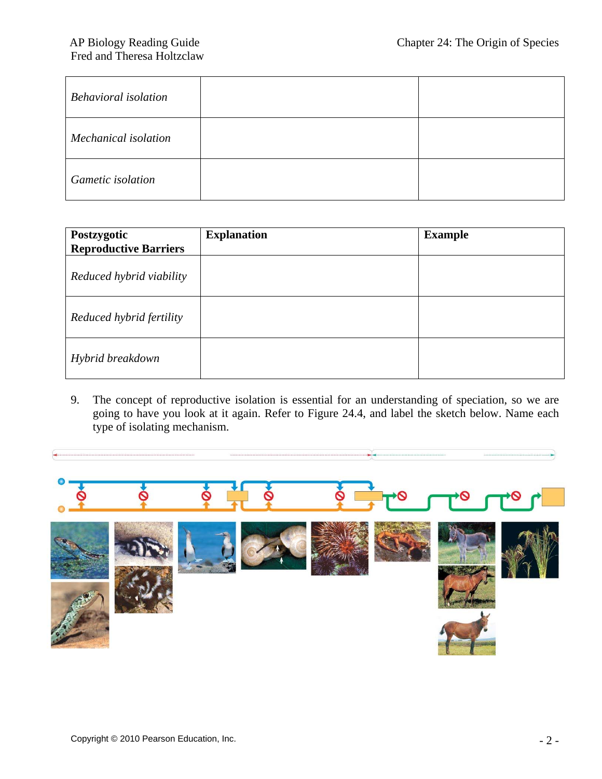| <b>Behavioral isolation</b> |  |
|-----------------------------|--|
| Mechanical isolation        |  |
| <b>Gametic</b> isolation    |  |

| Postzygotic<br><b>Reproductive Barriers</b> | <b>Explanation</b> | <b>Example</b> |
|---------------------------------------------|--------------------|----------------|
| Reduced hybrid viability                    |                    |                |
| Reduced hybrid fertility                    |                    |                |
| Hybrid breakdown                            |                    |                |

9. The concept of reproductive isolation is essential for an understanding of speciation, so we are going to have you look at it again. Refer to Figure 24.4, and label the sketch below. Name each type of isolating mechanism.

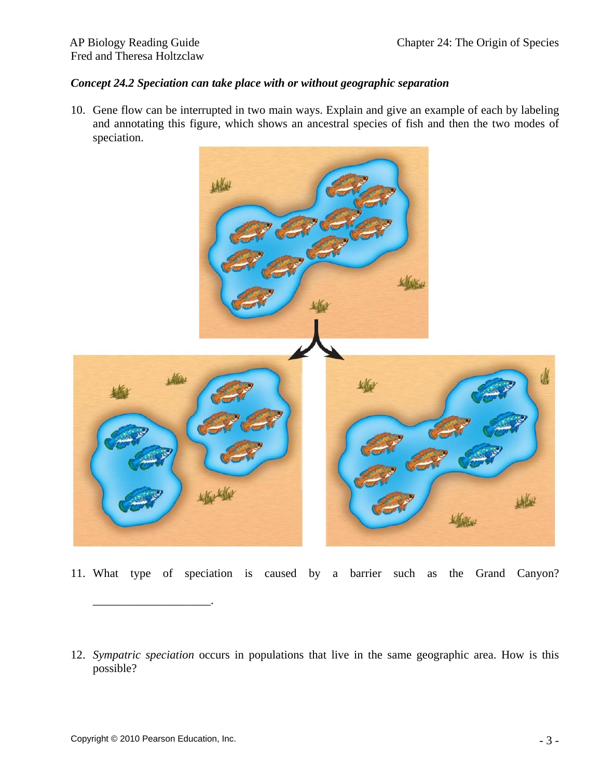## *Concept 24.2 Speciation can take place with or without geographic separation*

10. Gene flow can be interrupted in two main ways. Explain and give an example of each by labeling and annotating this figure, which shows an ancestral species of fish and then the two modes of speciation.



- 11. What type of speciation is caused by a barrier such as the Grand Canyon?
- 12. *Sympatric speciation* occurs in populations that live in the same geographic area. How is this possible?

\_\_\_\_\_\_\_\_\_\_\_\_\_\_\_\_\_\_\_\_.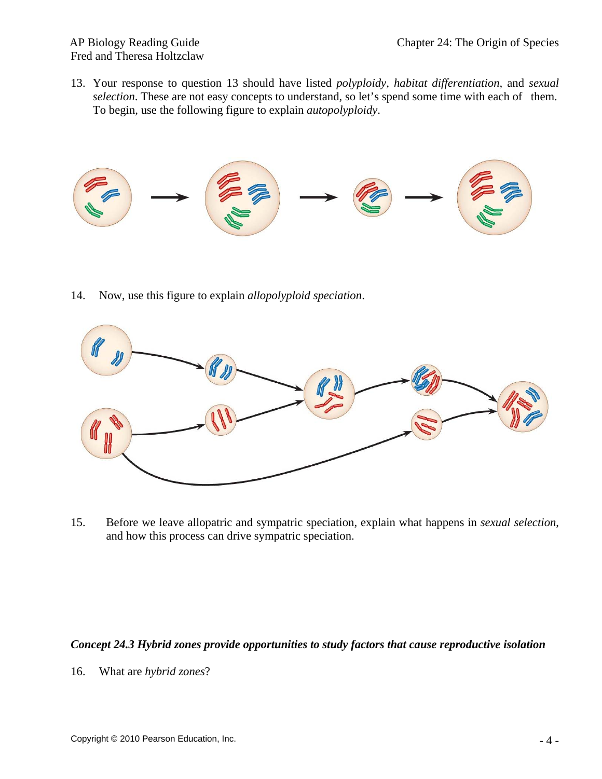13. Your response to question 13 should have listed *polyploidy, habitat differentiation,* and *sexual selection*. These are not easy concepts to understand, so let's spend some time with each of them. To begin, use the following figure to explain *autopolyploidy*.



14. Now, use this figure to explain *allopolyploid speciation*.



15. Before we leave allopatric and sympatric speciation, explain what happens in *sexual selection*, and how this process can drive sympatric speciation.

## *Concept 24.3 Hybrid zones provide opportunities to study factors that cause reproductive isolation*

16. What are *hybrid zones*?